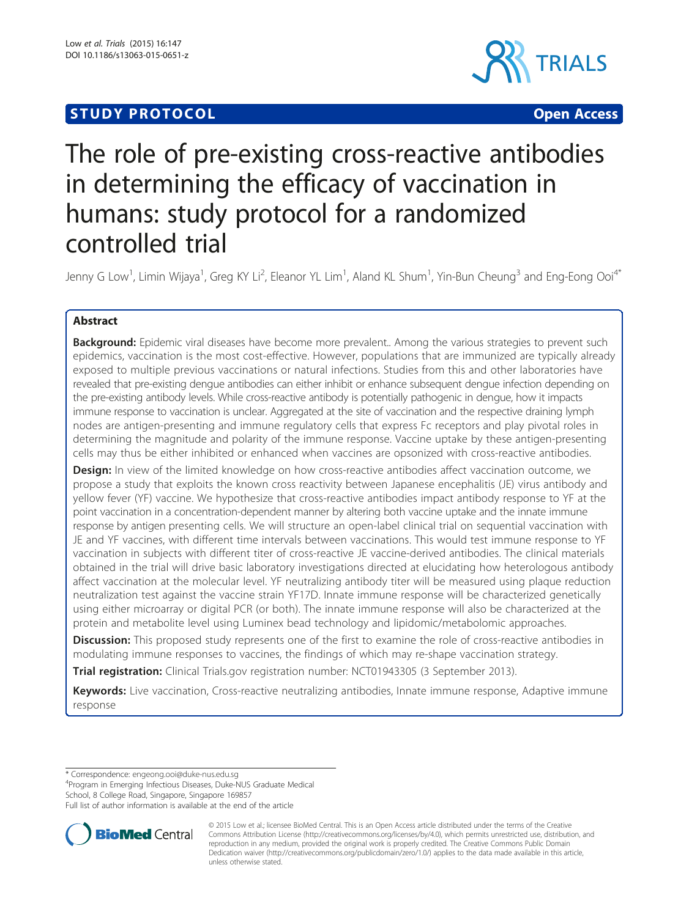## **STUDY PROTOCOL CONSUMING THE CONSUMING OPEN ACCESS**



# The role of pre-existing cross-reactive antibodies in determining the efficacy of vaccination in humans: study protocol for a randomized controlled trial

Jenny G Low<sup>1</sup>, Limin Wijaya<sup>1</sup>, Greg KY Li<sup>2</sup>, Eleanor YL Lim<sup>1</sup>, Aland KL Shum<sup>1</sup>, Yin-Bun Cheung<sup>3</sup> and Eng-Eong Ooi<sup>4\*</sup>

## Abstract

**Background:** Epidemic viral diseases have become more prevalent.. Among the various strategies to prevent such epidemics, vaccination is the most cost-effective. However, populations that are immunized are typically already exposed to multiple previous vaccinations or natural infections. Studies from this and other laboratories have revealed that pre-existing dengue antibodies can either inhibit or enhance subsequent dengue infection depending on the pre-existing antibody levels. While cross-reactive antibody is potentially pathogenic in dengue, how it impacts immune response to vaccination is unclear. Aggregated at the site of vaccination and the respective draining lymph nodes are antigen-presenting and immune regulatory cells that express Fc receptors and play pivotal roles in determining the magnitude and polarity of the immune response. Vaccine uptake by these antigen-presenting cells may thus be either inhibited or enhanced when vaccines are opsonized with cross-reactive antibodies.

**Design:** In view of the limited knowledge on how cross-reactive antibodies affect vaccination outcome, we propose a study that exploits the known cross reactivity between Japanese encephalitis (JE) virus antibody and yellow fever (YF) vaccine. We hypothesize that cross-reactive antibodies impact antibody response to YF at the point vaccination in a concentration-dependent manner by altering both vaccine uptake and the innate immune response by antigen presenting cells. We will structure an open-label clinical trial on sequential vaccination with JE and YF vaccines, with different time intervals between vaccinations. This would test immune response to YF vaccination in subjects with different titer of cross-reactive JE vaccine-derived antibodies. The clinical materials obtained in the trial will drive basic laboratory investigations directed at elucidating how heterologous antibody affect vaccination at the molecular level. YF neutralizing antibody titer will be measured using plaque reduction neutralization test against the vaccine strain YF17D. Innate immune response will be characterized genetically using either microarray or digital PCR (or both). The innate immune response will also be characterized at the protein and metabolite level using Luminex bead technology and lipidomic/metabolomic approaches.

**Discussion:** This proposed study represents one of the first to examine the role of cross-reactive antibodies in modulating immune responses to vaccines, the findings of which may re-shape vaccination strategy.

Trial registration: Clinical Trials.gov registration number: [NCT01943305](https://clinicaltrials.gov/ct2/show/NCT01943305?term=NCT01943305&rank=1) (3 September 2013).

Keywords: Live vaccination, Cross-reactive neutralizing antibodies, Innate immune response, Adaptive immune response

\* Correspondence: [engeong.ooi@duke-nus.edu.sg](mailto:engeong.ooi@duke-nus.edu.sg) <sup>4</sup>

<sup>4</sup>Program in Emerging Infectious Diseases, Duke-NUS Graduate Medical

School, 8 College Road, Singapore, Singapore 169857

Full list of author information is available at the end of the article



© 2015 Low et al.; licensee BioMed Central. This is an Open Access article distributed under the terms of the Creative Commons Attribution License [\(http://creativecommons.org/licenses/by/4.0\)](http://creativecommons.org/licenses/by/4.0), which permits unrestricted use, distribution, and reproduction in any medium, provided the original work is properly credited. The Creative Commons Public Domain Dedication waiver [\(http://creativecommons.org/publicdomain/zero/1.0/](http://creativecommons.org/publicdomain/zero/1.0/)) applies to the data made available in this article, unless otherwise stated.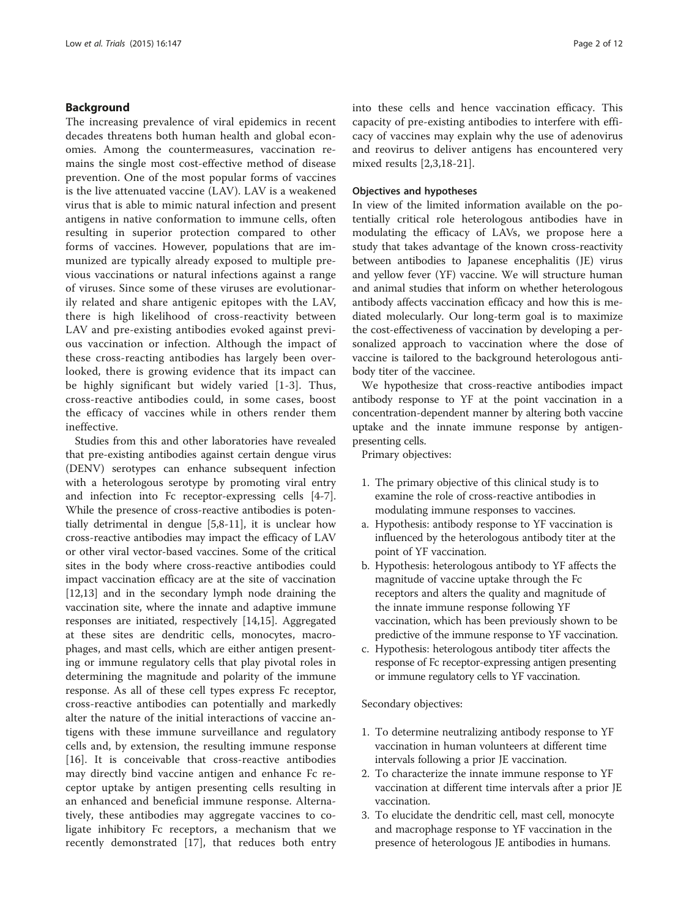## Background

The increasing prevalence of viral epidemics in recent decades threatens both human health and global economies. Among the countermeasures, vaccination remains the single most cost-effective method of disease prevention. One of the most popular forms of vaccines is the live attenuated vaccine (LAV). LAV is a weakened virus that is able to mimic natural infection and present antigens in native conformation to immune cells, often resulting in superior protection compared to other forms of vaccines. However, populations that are immunized are typically already exposed to multiple previous vaccinations or natural infections against a range of viruses. Since some of these viruses are evolutionarily related and share antigenic epitopes with the LAV, there is high likelihood of cross-reactivity between LAV and pre-existing antibodies evoked against previous vaccination or infection. Although the impact of these cross-reacting antibodies has largely been overlooked, there is growing evidence that its impact can be highly significant but widely varied [\[1](#page-11-0)-[3](#page-11-0)]. Thus, cross-reactive antibodies could, in some cases, boost the efficacy of vaccines while in others render them ineffective.

Studies from this and other laboratories have revealed that pre-existing antibodies against certain dengue virus (DENV) serotypes can enhance subsequent infection with a heterologous serotype by promoting viral entry and infection into Fc receptor-expressing cells [[4-7](#page-11-0)]. While the presence of cross-reactive antibodies is potentially detrimental in dengue [\[5,8](#page-11-0)-[11\]](#page-11-0), it is unclear how cross-reactive antibodies may impact the efficacy of LAV or other viral vector-based vaccines. Some of the critical sites in the body where cross-reactive antibodies could impact vaccination efficacy are at the site of vaccination [[12,13\]](#page-11-0) and in the secondary lymph node draining the vaccination site, where the innate and adaptive immune responses are initiated, respectively [[14,15](#page-11-0)]. Aggregated at these sites are dendritic cells, monocytes, macrophages, and mast cells, which are either antigen presenting or immune regulatory cells that play pivotal roles in determining the magnitude and polarity of the immune response. As all of these cell types express Fc receptor, cross-reactive antibodies can potentially and markedly alter the nature of the initial interactions of vaccine antigens with these immune surveillance and regulatory cells and, by extension, the resulting immune response [[16\]](#page-11-0). It is conceivable that cross-reactive antibodies may directly bind vaccine antigen and enhance Fc receptor uptake by antigen presenting cells resulting in an enhanced and beneficial immune response. Alternatively, these antibodies may aggregate vaccines to coligate inhibitory Fc receptors, a mechanism that we recently demonstrated [\[17](#page-11-0)], that reduces both entry into these cells and hence vaccination efficacy. This capacity of pre-existing antibodies to interfere with efficacy of vaccines may explain why the use of adenovirus and reovirus to deliver antigens has encountered very mixed results [[2,3,18](#page-11-0)-[21](#page-11-0)].

#### Objectives and hypotheses

In view of the limited information available on the potentially critical role heterologous antibodies have in modulating the efficacy of LAVs, we propose here a study that takes advantage of the known cross-reactivity between antibodies to Japanese encephalitis (JE) virus and yellow fever (YF) vaccine. We will structure human and animal studies that inform on whether heterologous antibody affects vaccination efficacy and how this is mediated molecularly. Our long-term goal is to maximize the cost-effectiveness of vaccination by developing a personalized approach to vaccination where the dose of vaccine is tailored to the background heterologous antibody titer of the vaccinee.

We hypothesize that cross-reactive antibodies impact antibody response to YF at the point vaccination in a concentration-dependent manner by altering both vaccine uptake and the innate immune response by antigenpresenting cells.

Primary objectives:

- 1. The primary objective of this clinical study is to examine the role of cross-reactive antibodies in modulating immune responses to vaccines.
- a. Hypothesis: antibody response to YF vaccination is influenced by the heterologous antibody titer at the point of YF vaccination.
- b. Hypothesis: heterologous antibody to YF affects the magnitude of vaccine uptake through the Fc receptors and alters the quality and magnitude of the innate immune response following YF vaccination, which has been previously shown to be predictive of the immune response to YF vaccination.
- c. Hypothesis: heterologous antibody titer affects the response of Fc receptor-expressing antigen presenting or immune regulatory cells to YF vaccination.

#### Secondary objectives:

- 1. To determine neutralizing antibody response to YF vaccination in human volunteers at different time intervals following a prior JE vaccination.
- 2. To characterize the innate immune response to YF vaccination at different time intervals after a prior JE vaccination.
- 3. To elucidate the dendritic cell, mast cell, monocyte and macrophage response to YF vaccination in the presence of heterologous JE antibodies in humans.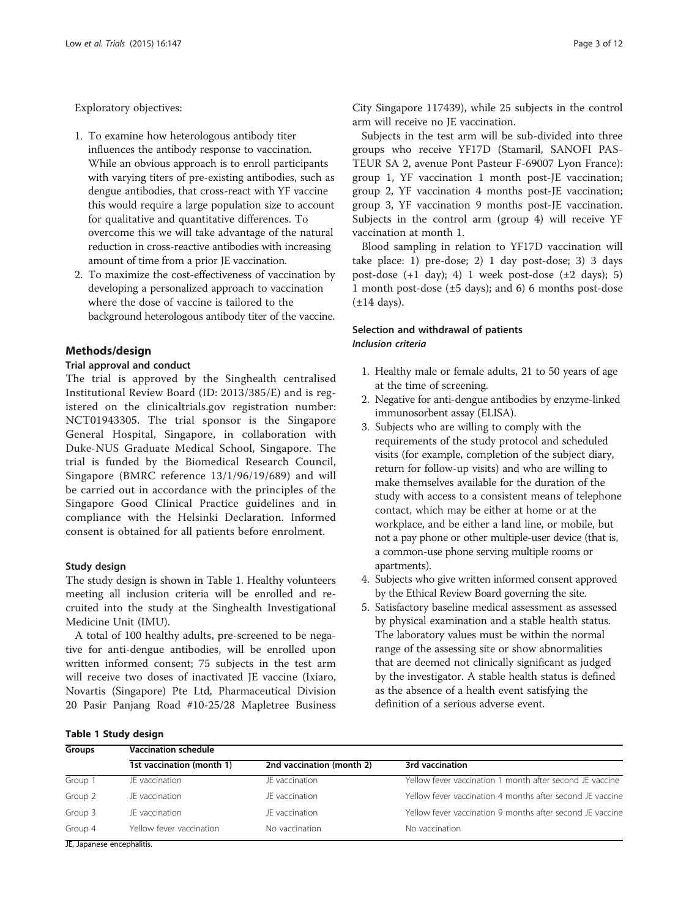Exploratory objectives:

- 1. To examine how heterologous antibody titer influences the antibody response to vaccination. While an obvious approach is to enroll participants with varying titers of pre-existing antibodies, such as dengue antibodies, that cross-react with YF vaccine this would require a large population size to account for qualitative and quantitative differences. To overcome this we will take advantage of the natural reduction in cross-reactive antibodies with increasing amount of time from a prior JE vaccination.
- 2. To maximize the cost-effectiveness of vaccination by developing a personalized approach to vaccination where the dose of vaccine is tailored to the background heterologous antibody titer of the vaccine.

## Methods/design

#### Trial approval and conduct

The trial is approved by the Singhealth centralised Institutional Review Board (ID: 2013/385/E) and is registered on the clinicaltrials.gov registration number: [NCT01943305.](http://www.clinicaltrials.gov/NCT01943305) The trial sponsor is the Singapore General Hospital, Singapore, in collaboration with Duke-NUS Graduate Medical School, Singapore. The trial is funded by the Biomedical Research Council, Singapore (BMRC reference 13/1/96/19/689) and will be carried out in accordance with the principles of the Singapore Good Clinical Practice guidelines and in compliance with the Helsinki Declaration. Informed consent is obtained for all patients before enrolment.

#### Study design

The study design is shown in Table 1. Healthy volunteers meeting all inclusion criteria will be enrolled and recruited into the study at the Singhealth Investigational Medicine Unit (IMU).

A total of 100 healthy adults, pre-screened to be negative for anti-dengue antibodies, will be enrolled upon written informed consent; 75 subjects in the test arm will receive two doses of inactivated JE vaccine (Ixiaro, Novartis (Singapore) Pte Ltd, Pharmaceutical Division 20 Pasir Panjang Road #10-25/28 Mapletree Business City Singapore 117439), while 25 subjects in the control arm will receive no JE vaccination.

Subjects in the test arm will be sub-divided into three groups who receive YF17D (Stamaril, SANOFI PAS-TEUR SA 2, avenue Pont Pasteur F-69007 Lyon France): group 1, YF vaccination 1 month post-JE vaccination; group 2, YF vaccination 4 months post-JE vaccination; group 3, YF vaccination 9 months post-JE vaccination. Subjects in the control arm (group 4) will receive YF vaccination at month 1.

Blood sampling in relation to YF17D vaccination will take place: 1) pre-dose; 2) 1 day post-dose; 3) 3 days post-dose  $(+1$  day); 4) 1 week post-dose  $(\pm 2$  days); 5) 1 month post-dose (±5 days); and 6) 6 months post-dose  $(\pm 14$  days).

## Selection and withdrawal of patients Inclusion criteria

- 1. Healthy male or female adults, 21 to 50 years of age at the time of screening.
- 2. Negative for anti-dengue antibodies by enzyme-linked immunosorbent assay (ELISA).
- 3. Subjects who are willing to comply with the requirements of the study protocol and scheduled visits (for example, completion of the subject diary, return for follow-up visits) and who are willing to make themselves available for the duration of the study with access to a consistent means of telephone contact, which may be either at home or at the workplace, and be either a land line, or mobile, but not a pay phone or other multiple-user device (that is, a common-use phone serving multiple rooms or apartments).
- 4. Subjects who give written informed consent approved by the Ethical Review Board governing the site.
- 5. Satisfactory baseline medical assessment as assessed by physical examination and a stable health status. The laboratory values must be within the normal range of the assessing site or show abnormalities that are deemed not clinically significant as judged by the investigator. A stable health status is defined as the absence of a health event satisfying the definition of a serious adverse event.

| Table 1 Study design |  |  |  |  |  |  |
|----------------------|--|--|--|--|--|--|
|----------------------|--|--|--|--|--|--|

| <b>Groups</b> | <b>Vaccination schedule</b> |                           |                                                           |  |  |  |  |
|---------------|-----------------------------|---------------------------|-----------------------------------------------------------|--|--|--|--|
|               | 1st vaccination (month 1)   | 2nd vaccination (month 2) | 3rd vaccination                                           |  |  |  |  |
| Group 1       | JE vaccination              | JE vaccination            | Yellow fever vaccination 1 month after second JE vaccine  |  |  |  |  |
| Group 2       | JE vaccination              | JE vaccination            | Yellow fever vaccination 4 months after second JE vaccine |  |  |  |  |
| Group 3       | JF vaccination              | JE vaccination            | Yellow fever vaccination 9 months after second JE vaccine |  |  |  |  |
| Group 4       | Yellow fever vaccination    | No vaccination            | No vaccination                                            |  |  |  |  |

JE, Japanese encephalitis.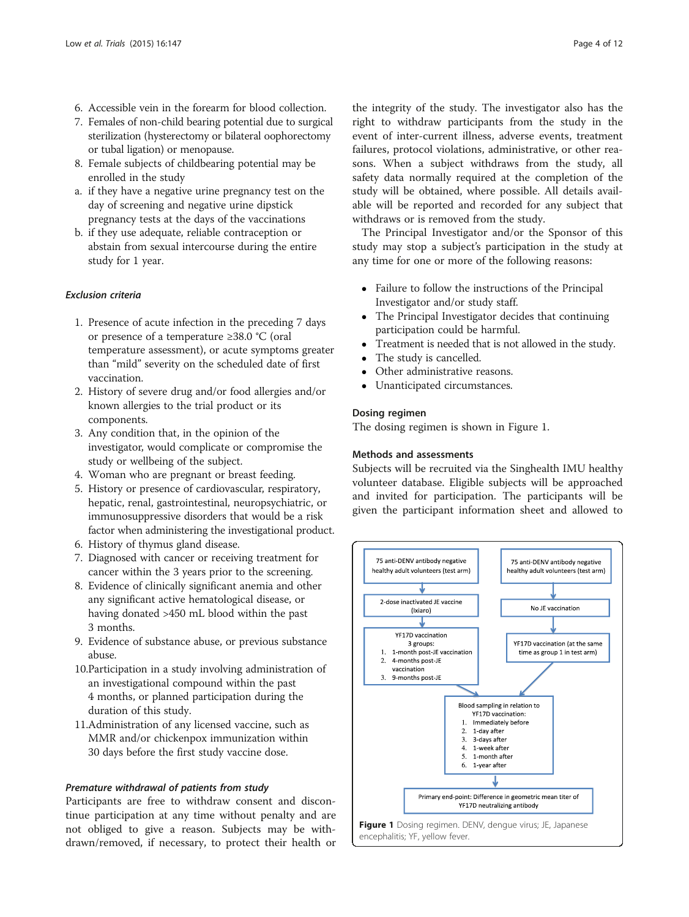- 6. Accessible vein in the forearm for blood collection.
- 7. Females of non-child bearing potential due to surgical sterilization (hysterectomy or bilateral oophorectomy or tubal ligation) or menopause.
- 8. Female subjects of childbearing potential may be enrolled in the study
- a. if they have a negative urine pregnancy test on the day of screening and negative urine dipstick pregnancy tests at the days of the vaccinations
- b. if they use adequate, reliable contraception or abstain from sexual intercourse during the entire study for 1 year.

## Exclusion criteria

- 1. Presence of acute infection in the preceding 7 days or presence of a temperature ≥38.0 °C (oral temperature assessment), or acute symptoms greater than "mild" severity on the scheduled date of first vaccination.
- 2. History of severe drug and/or food allergies and/or known allergies to the trial product or its components.
- 3. Any condition that, in the opinion of the investigator, would complicate or compromise the study or wellbeing of the subject.
- 4. Woman who are pregnant or breast feeding.
- 5. History or presence of cardiovascular, respiratory, hepatic, renal, gastrointestinal, neuropsychiatric, or immunosuppressive disorders that would be a risk factor when administering the investigational product.
- 6. History of thymus gland disease.
- 7. Diagnosed with cancer or receiving treatment for cancer within the 3 years prior to the screening.
- 8. Evidence of clinically significant anemia and other any significant active hematological disease, or having donated >450 mL blood within the past 3 months.
- 9. Evidence of substance abuse, or previous substance abuse.
- 10.Participation in a study involving administration of an investigational compound within the past 4 months, or planned participation during the duration of this study.
- 11.Administration of any licensed vaccine, such as MMR and/or chickenpox immunization within 30 days before the first study vaccine dose.

#### Premature withdrawal of patients from study

Participants are free to withdraw consent and discontinue participation at any time without penalty and are not obliged to give a reason. Subjects may be withdrawn/removed, if necessary, to protect their health or

the integrity of the study. The investigator also has the right to withdraw participants from the study in the event of inter-current illness, adverse events, treatment failures, protocol violations, administrative, or other reasons. When a subject withdraws from the study, all safety data normally required at the completion of the study will be obtained, where possible. All details available will be reported and recorded for any subject that withdraws or is removed from the study.

The Principal Investigator and/or the Sponsor of this study may stop a subject's participation in the study at any time for one or more of the following reasons:

- Failure to follow the instructions of the Principal Investigator and/or study staff.
- The Principal Investigator decides that continuing participation could be harmful.
- Treatment is needed that is not allowed in the study.
- The study is cancelled.
- Other administrative reasons.<br>• Unanticipated circumstances
- Unanticipated circumstances.

## Dosing regimen

The dosing regimen is shown in Figure 1.

## Methods and assessments

Subjects will be recruited via the Singhealth IMU healthy volunteer database. Eligible subjects will be approached and invited for participation. The participants will be given the participant information sheet and allowed to

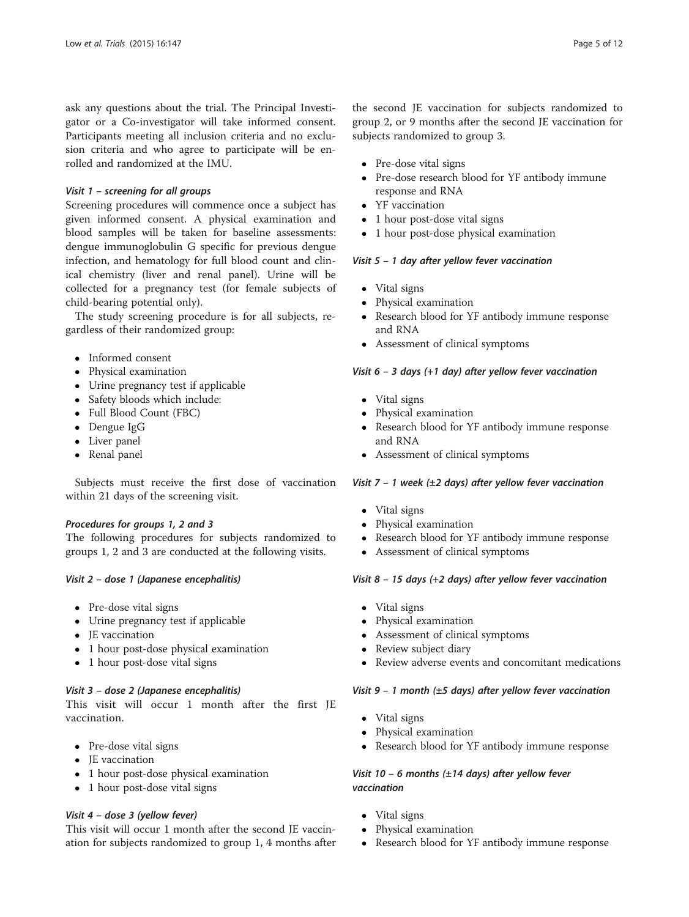ask any questions about the trial. The Principal Investigator or a Co-investigator will take informed consent. Participants meeting all inclusion criteria and no exclusion criteria and who agree to participate will be enrolled and randomized at the IMU.

#### Visit 1 – screening for all groups

Screening procedures will commence once a subject has given informed consent. A physical examination and blood samples will be taken for baseline assessments: dengue immunoglobulin G specific for previous dengue infection, and hematology for full blood count and clinical chemistry (liver and renal panel). Urine will be collected for a pregnancy test (for female subjects of child-bearing potential only).

The study screening procedure is for all subjects, regardless of their randomized group:

- Informed consent
- Physical examination
- Urine pregnancy test if applicable
- Safety bloods which include:
- Full Blood Count (FBC)
- Dengue IgG
- Liver panel
- Renal panel

Subjects must receive the first dose of vaccination within 21 days of the screening visit.

#### Procedures for groups 1, 2 and 3

The following procedures for subjects randomized to groups 1, 2 and 3 are conducted at the following visits.

#### Visit 2 – dose 1 (Japanese encephalitis)

- Pre-dose vital signs
- Urine pregnancy test if applicable
- JE vaccination
- 1 hour post-dose physical examination
- 1 hour post-dose vital signs

#### Visit 3 – dose 2 (Japanese encephalitis)

This visit will occur 1 month after the first JE vaccination.

- Pre-dose vital signs
- JE vaccination
- 1 hour post-dose physical examination
- 1 hour post-dose vital signs

#### Visit 4 – dose 3 (yellow fever)

This visit will occur 1 month after the second JE vaccination for subjects randomized to group 1, 4 months after the second JE vaccination for subjects randomized to group 2, or 9 months after the second JE vaccination for subjects randomized to group 3.

- Pre-dose vital signs
- Pre-dose research blood for YF antibody immune response and RNA
- YF vaccination
- 1 hour post-dose vital signs<br>• 1 hour post-dose physical example
- 1 hour post-dose physical examination

#### Visit 5 – 1 day after yellow fever vaccination

- Vital signs
- Physical examination
- Research blood for YF antibody immune response and RNA
- Assessment of clinical symptoms

## Visit 6 – 3 days (+1 day) after yellow fever vaccination

- Vital signs
- Physical examination
- Research blood for YF antibody immune response and RNA
- Assessment of clinical symptoms

#### Visit 7 – 1 week  $(\pm 2 \text{ days})$  after yellow fever vaccination

- Vital signs
- Physical examination
- Research blood for YF antibody immune response
- Assessment of clinical symptoms

#### Visit 8 – 15 days (+2 days) after yellow fever vaccination

- Vital signs
- Physical examination
- Assessment of clinical symptoms
- Review subject diary
- Review adverse events and concomitant medications

#### Visit 9 – 1 month ( $\pm$ 5 days) after yellow fever vaccination

- Vital signs
- Physical examination
- Research blood for YF antibody immune response

## Visit 10 - 6 months ( $\pm$ 14 days) after yellow fever vaccination

- Vital signs
- Physical examination
- Research blood for YF antibody immune response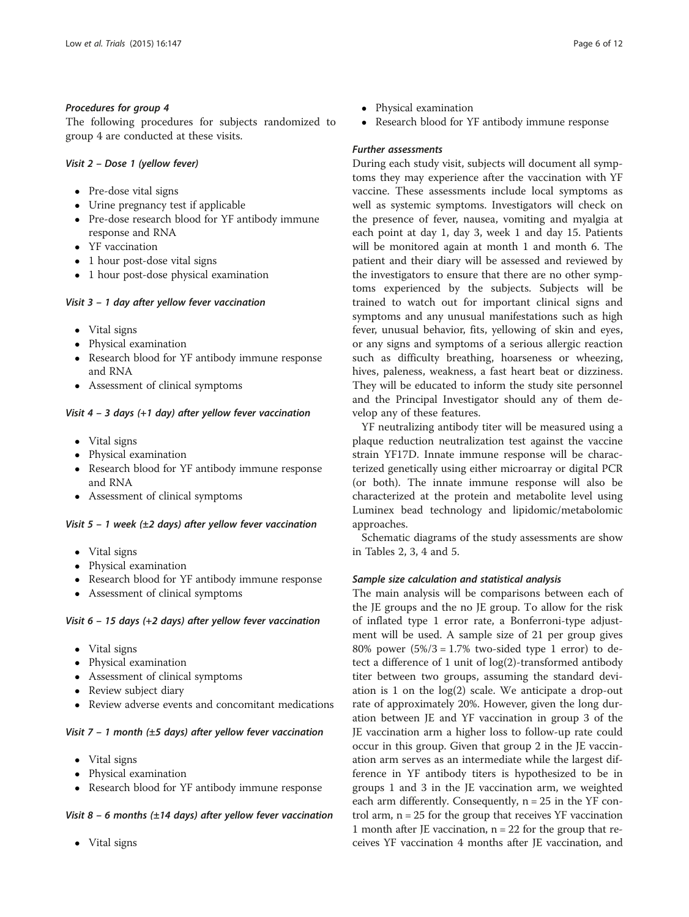## Procedures for group 4

The following procedures for subjects randomized to group 4 are conducted at these visits.

## Visit 2 – Dose 1 (yellow fever)

- Pre-dose vital signs
- Urine pregnancy test if applicable
- Pre-dose research blood for YF antibody immune response and RNA
- YF vaccination
- 1 hour post-dose vital signs
- 1 hour post-dose physical examination

## Visit 3 – 1 day after yellow fever vaccination

- Vital signs
- Physical examination
- Research blood for YF antibody immune response and RNA
- Assessment of clinical symptoms

## Visit 4 – 3 days (+1 day) after yellow fever vaccination

- Vital signs
- Physical examination
- Research blood for YF antibody immune response and RNA
- Assessment of clinical symptoms

## Visit 5 – 1 week  $(\pm 2 \text{ days})$  after yellow fever vaccination

- Vital signs
- Physical examination
- Research blood for YF antibody immune response
- Assessment of clinical symptoms

#### Visit 6 – 15 days (+2 days) after yellow fever vaccination

- Vital signs
- Physical examination
- Assessment of clinical symptoms
- Review subject diary
- Review adverse events and concomitant medications

## Visit 7 – 1 month ( $\pm$ 5 days) after yellow fever vaccination

- Vital signs
- Physical examination
- Research blood for YF antibody immune response

## Visit 8 – 6 months ( $\pm$ 14 days) after yellow fever vaccination

• Vital signs

- Physical examination<br>• Research blood for Y
- Research blood for YF antibody immune response

## Further assessments

During each study visit, subjects will document all symptoms they may experience after the vaccination with YF vaccine. These assessments include local symptoms as well as systemic symptoms. Investigators will check on the presence of fever, nausea, vomiting and myalgia at each point at day 1, day 3, week 1 and day 15. Patients will be monitored again at month 1 and month 6. The patient and their diary will be assessed and reviewed by the investigators to ensure that there are no other symptoms experienced by the subjects. Subjects will be trained to watch out for important clinical signs and symptoms and any unusual manifestations such as high fever, unusual behavior, fits, yellowing of skin and eyes, or any signs and symptoms of a serious allergic reaction such as difficulty breathing, hoarseness or wheezing, hives, paleness, weakness, a fast heart beat or dizziness. They will be educated to inform the study site personnel and the Principal Investigator should any of them develop any of these features.

YF neutralizing antibody titer will be measured using a plaque reduction neutralization test against the vaccine strain YF17D. Innate immune response will be characterized genetically using either microarray or digital PCR (or both). The innate immune response will also be characterized at the protein and metabolite level using Luminex bead technology and lipidomic/metabolomic approaches.

Schematic diagrams of the study assessments are show in Tables [2](#page-6-0), [3](#page-7-0), [4](#page-8-0) and [5](#page-9-0).

## Sample size calculation and statistical analysis

The main analysis will be comparisons between each of the JE groups and the no JE group. To allow for the risk of inflated type 1 error rate, a Bonferroni-type adjustment will be used. A sample size of 21 per group gives 80% power  $(5\%/3 = 1.7\%$  two-sided type 1 error) to detect a difference of 1 unit of log(2)-transformed antibody titer between two groups, assuming the standard deviation is 1 on the log(2) scale. We anticipate a drop-out rate of approximately 20%. However, given the long duration between JE and YF vaccination in group 3 of the JE vaccination arm a higher loss to follow-up rate could occur in this group. Given that group 2 in the JE vaccination arm serves as an intermediate while the largest difference in YF antibody titers is hypothesized to be in groups 1 and 3 in the JE vaccination arm, we weighted each arm differently. Consequently,  $n = 25$  in the YF control arm,  $n = 25$  for the group that receives  $YF$  vaccination 1 month after JE vaccination,  $n = 22$  for the group that receives YF vaccination 4 months after JE vaccination, and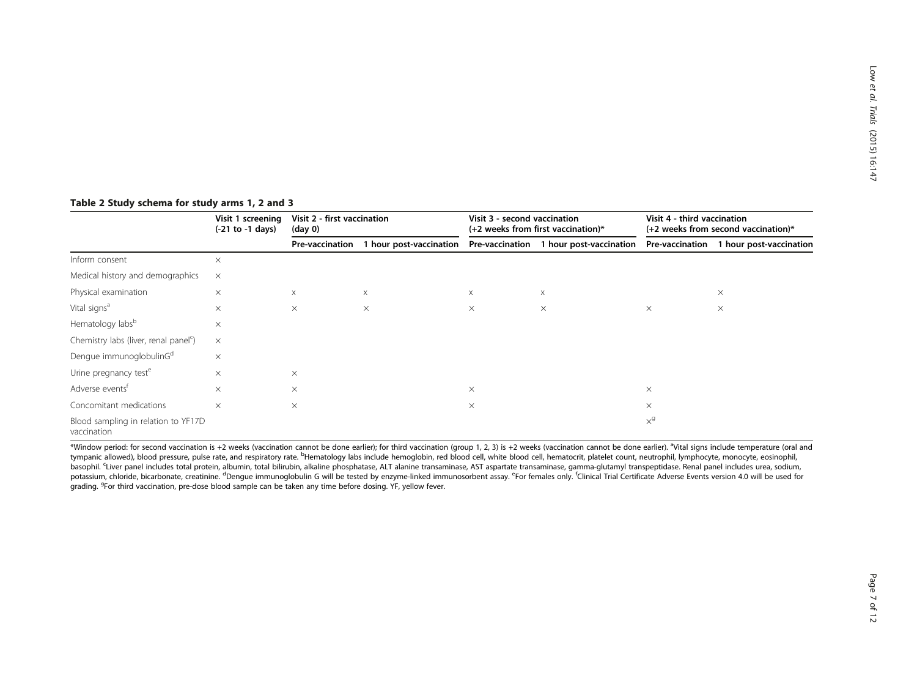#### Visit 1 screening (-21 to -1 days) Visit 2 - first vaccination (day 0) Visit 3 - second vaccination (+2 weeks from first vaccination)\* Visit 4 - third vaccination (+2 weeks from second vaccination)\* Pre-vaccination 1 hour post-vaccination Pre-vaccination 1 hour post-vaccination Pre-vaccination 1 hour post-vaccination  $Inform constant$   $\times$ Medical history and demographics  $\times$ Physical examination  $\begin{array}{ccc} \times & \times & \times \end{array}$  x  $\begin{array}{ccc} \times & \times & \times \end{array}$ Vital signs<sup>a</sup> × ×× ×× ×× Hematology labs<sup>b</sup>  $\times$ Chemistry labs (liver, renal panel<sup>c</sup>)  $\times$ Dengue immunoglobulin $G<sup>d</sup>$   $\times$ Urine pregnancy test<sup>e</sup>  $\times$   $\times$ Adverse events<sup>f</sup>  $\times$   $\times$   $\times$ Concomitant medications  $\begin{array}{ccc} \times & \times & \times \end{array}$ Blood sampling in relation to YF17D vaccination  $\times^g$

## <span id="page-6-0"></span>Table 2 Study schema for study arms 1, 2 and 3

\*Window period: for second vaccination is +2 weeks (vaccination cannot be done earlier); for third vaccination (group 1, 2, 3) is +2 weeks (vaccination cannot be done earlier). <sup>a</sup>Vital signs include temperature (oral and tympanic allowed), blood pressure, pulse rate, and respiratory rate. <sup>b</sup>Hematology labs include hemoglobin, red blood cell, white blood cell, hematocrit, platelet count, neutrophil, lymphocyte, monocyte, eosinophil, basophil. <sup>c</sup>Liver panel includes total protein, albumin, total bilirubin, alkaline phosphatase, ALT alanine transaminase, AST aspartate transaminase, gamma-glutamyl transpeptidase. Renal panel includes urea, sodium, potassium, chloride, bicarbonate, creatinine. <sup>d</sup>Dengue immunoglobulin G will be tested by enzyme-linked immunosorbent assay. <sup>e</sup>For females only. <sup>f</sup>Clinical Trial Certificate Adverse Events version 4.0 will be used for grading. <sup>g</sup>For third vaccination, pre-dose blood sample can be taken any time before dosing. YF, yellow fever.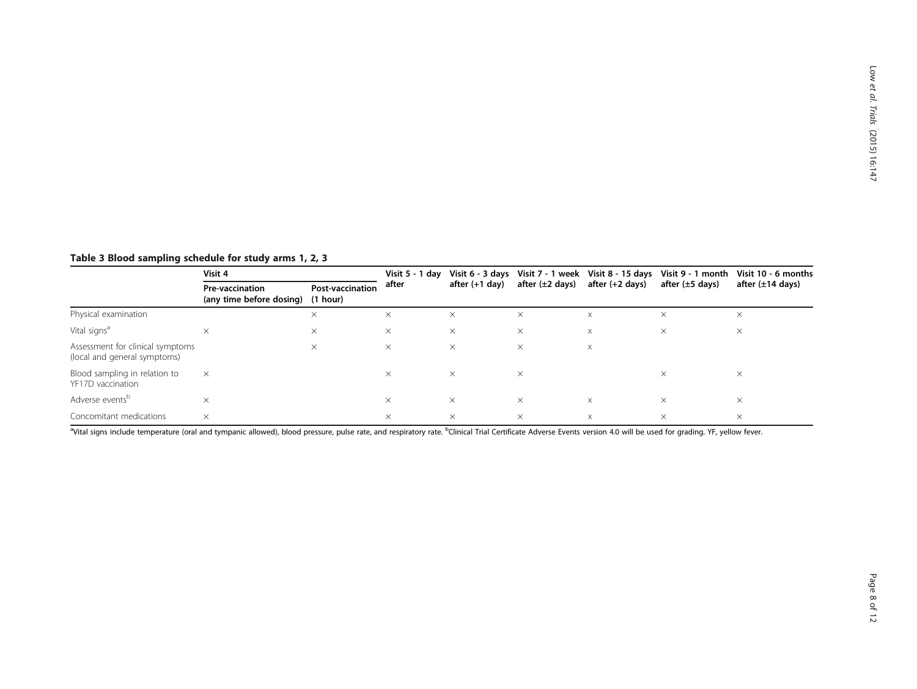## <span id="page-7-0"></span>Table 3 Blood sampling schedule for study arms 1, 2, 3

|                                                                  | Visit 4                                            |                                     | Visit 5 - 1 day |                  |                              |                 | Visit 6 - 3 days Visit 7 - 1 week Visit 8 - 15 days Visit 9 - 1 month | Visit 10 - 6 months |
|------------------------------------------------------------------|----------------------------------------------------|-------------------------------------|-----------------|------------------|------------------------------|-----------------|-----------------------------------------------------------------------|---------------------|
|                                                                  | <b>Pre-vaccination</b><br>(any time before dosing) | <b>Post-vaccination</b><br>(1 hour) | after           | after $(+1$ day) | after $(\pm 2 \text{ days})$ | after (+2 days) | after $(\pm 5$ days)                                                  | after (±14 days)    |
| Physical examination                                             |                                                    | $\times$                            | $\times$        | $\times$         | $\times$                     | $\times$        | $\times$                                                              | $\times$            |
| Vital signs <sup>a</sup>                                         | $\times$                                           | $\times$                            | $\times$        | $\times$         | $\times$                     | $\times$        | $\times$                                                              | $\times$            |
| Assessment for clinical symptoms<br>(local and general symptoms) |                                                    | $\times$                            | $\times$        | $\times$         | $\times$                     | $\times$        |                                                                       |                     |
| Blood sampling in relation to<br>YF17D vaccination               | $\times$                                           |                                     | $\times$        | $\times$         | $\times$                     |                 | $\times$                                                              | $\times$            |
| Adverse events <sup>b</sup>                                      | $\times$                                           |                                     | $\times$        | $\times$         | $\times$                     | X               | $\times$                                                              | $\times$            |
| Concomitant medications                                          | $\times$                                           |                                     | $\times$        | $\times$         | $\times$                     | X               | $\times$                                                              | $\times$            |

<sup>a</sup>Vital signs include temperature (oral and tympanic allowed), blood pressure, pulse rate, and respiratory rate. <sup>b</sup>Clinical Trial Certificate Adverse Events version 4.0 will be used for grading. YF, yellow fever.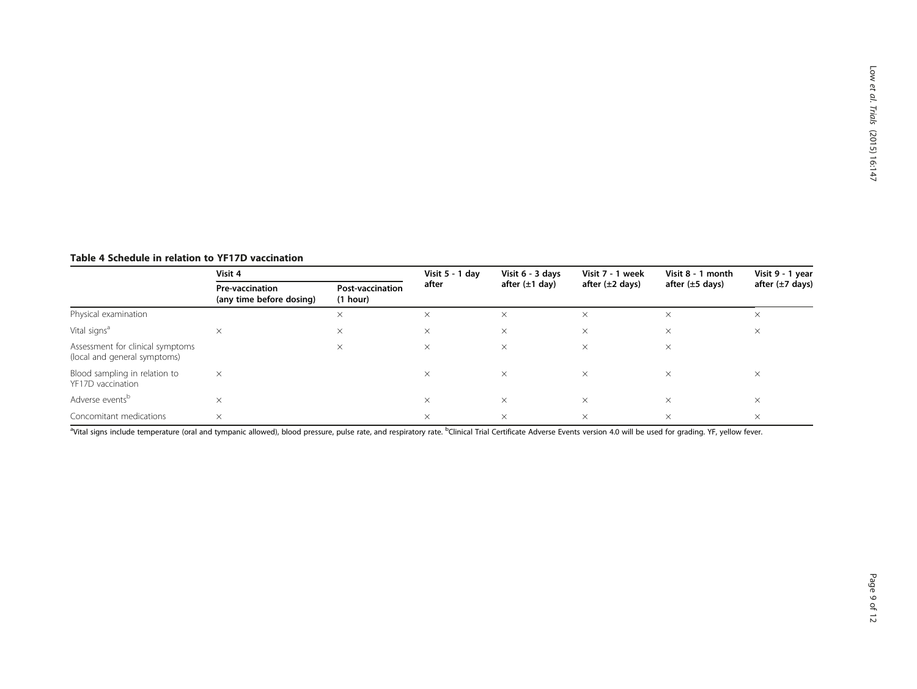## <span id="page-8-0"></span>Table 4 Schedule in relation to YF17D vaccination

|                                                                  | Visit 4                                     |                              | Visit 5 - 1 day | Visit 6 - 3 days    | Visit 7 - 1 week             | Visit 8 - 1 month    | Visit 9 - 1 year             |
|------------------------------------------------------------------|---------------------------------------------|------------------------------|-----------------|---------------------|------------------------------|----------------------|------------------------------|
|                                                                  | Pre-vaccination<br>(any time before dosing) | Post-vaccination<br>(1 hour) | after           | after $(\pm 1$ day) | after $(\pm 2 \text{ days})$ | after $(\pm 5$ days) | after $(\pm 7 \text{ days})$ |
| Physical examination                                             |                                             | $\times$                     | ×               | $\times$            | $\times$                     | $\times$             | X                            |
| Vital signs <sup>a</sup>                                         | $\times$                                    | $\times$                     | $\times$        | $\times$            | $\times$                     | $\times$             | $\times$                     |
| Assessment for clinical symptoms<br>(local and general symptoms) |                                             | $\times$                     | $\times$        | $\times$            | $\times$                     | $\times$             |                              |
| Blood sampling in relation to<br>YF17D vaccination               | $\times$                                    |                              | $\times$        | $\times$            | $\times$                     | $\times$             | $\times$                     |
| Adverse events <sup>b</sup>                                      | $\times$                                    |                              | X.              | $\times$            | $\times$                     | $\times$             | $\times$                     |
| Concomitant medications                                          | $\times$                                    |                              | X               | $\times$            | $\times$                     | $\times$             | X                            |

<sup>a</sup>Vital signs include temperature (oral and tympanic allowed), blood pressure, pulse rate, and respiratory rate. <sup>b</sup>Clinical Trial Certificate Adverse Events version 4.0 will be used for grading. YF, yellow fever.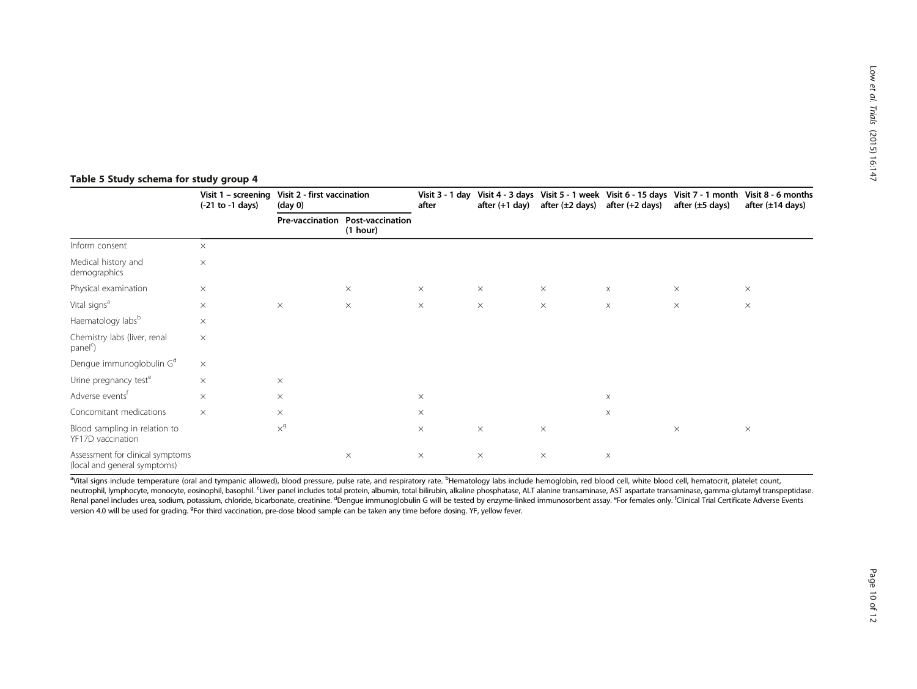## <span id="page-9-0"></span>Table 5 Study schema for study group 4

|                                                                  | Visit $1 -$ screening<br>$(-21$ to $-1$ days) | Visit 2 - first vaccination<br>(day 0) |                                              | Visit 3 - 1 day<br>after | after $(+1$ day) |          | after $(\pm 2 \text{ days})$ after $(+2 \text{ days})$ | after $(\pm 5 \text{ days})$ | Visit 4 - 3 days Visit 5 - 1 week Visit 6 - 15 days Visit 7 - 1 month Visit 8 - 6 months<br>after $(\pm 14 \text{ days})$ |
|------------------------------------------------------------------|-----------------------------------------------|----------------------------------------|----------------------------------------------|--------------------------|------------------|----------|--------------------------------------------------------|------------------------------|---------------------------------------------------------------------------------------------------------------------------|
|                                                                  |                                               |                                        | Pre-vaccination Post-vaccination<br>(1 hour) |                          |                  |          |                                                        |                              |                                                                                                                           |
| Inform consent                                                   | $\times$                                      |                                        |                                              |                          |                  |          |                                                        |                              |                                                                                                                           |
| Medical history and<br>demographics                              | $\times$                                      |                                        |                                              |                          |                  |          |                                                        |                              |                                                                                                                           |
| Physical examination                                             | $\times$                                      |                                        | $\times$                                     | $\times$                 | $\times$         | $\times$ | $\times$                                               | $\times$                     | $\times$                                                                                                                  |
| Vital signs <sup>a</sup>                                         | $\times$                                      | $\times$                               | $\times$                                     | $\times$                 | $\times$         | $\times$ | $\times$                                               | $\times$                     | $\times$                                                                                                                  |
| Haematology labsb                                                | $\times$                                      |                                        |                                              |                          |                  |          |                                                        |                              |                                                                                                                           |
| Chemistry labs (liver, renal<br>panel <sup>c</sup> )             | $\times$                                      |                                        |                                              |                          |                  |          |                                                        |                              |                                                                                                                           |
| Dengue immunoglobulin G <sup>d</sup>                             | $\times$                                      |                                        |                                              |                          |                  |          |                                                        |                              |                                                                                                                           |
| Urine pregnancy test <sup>e</sup>                                | $\times$                                      | $\times$                               |                                              |                          |                  |          |                                                        |                              |                                                                                                                           |
| Adverse events <sup>t</sup>                                      | $\times$                                      | $\times$                               |                                              | $\times$                 |                  |          | $\mathsf X$                                            |                              |                                                                                                                           |
| Concomitant medications                                          | $\times$                                      | $\times$                               |                                              | $\times$                 |                  |          | $\boldsymbol{\times}$                                  |                              |                                                                                                                           |
| Blood sampling in relation to<br>YF17D vaccination               |                                               | $\times^9$                             |                                              | $\times$                 | $\times$         | $\times$ |                                                        | $\times$                     | $\times$                                                                                                                  |
| Assessment for clinical symptoms<br>(local and general symptoms) |                                               |                                        | $\times$                                     | $\times$                 | $\times$         | $\times$ | $\boldsymbol{\times}$                                  |                              |                                                                                                                           |

<sup>a</sup>Vital signs include temperature (oral and tympanic allowed), blood pressure, pulse rate, and respiratory rate. <sup>b</sup>Hematology labs include hemoglobin, red blood cell, white blood cell, hematocrit, platelet count, neutrophil, lymphocyte, monocyte, eosinophil, basophil. Liver panel includes total protein, albumin, total bilirubin, alkaline phosphatase, ALT alanine transaminase, AST aspartate transaminase, gamma-glutamyl transpeptidas Renal panel includes urea, sodium, potassium, chloride, bicarbonate, creatinine. <sup>d</sup>Dengue immunoglobulin G will be tested by enzyme-linked immunosorbent assay. <sup>e</sup>For females only. <sup>f</sup>Clinical Trial Certificate Adverse Ev version 4.0 will be used for grading. <sup>9</sup>For third vaccination, pre-dose blood sample can be taken any time before dosing. YF, yellow fever.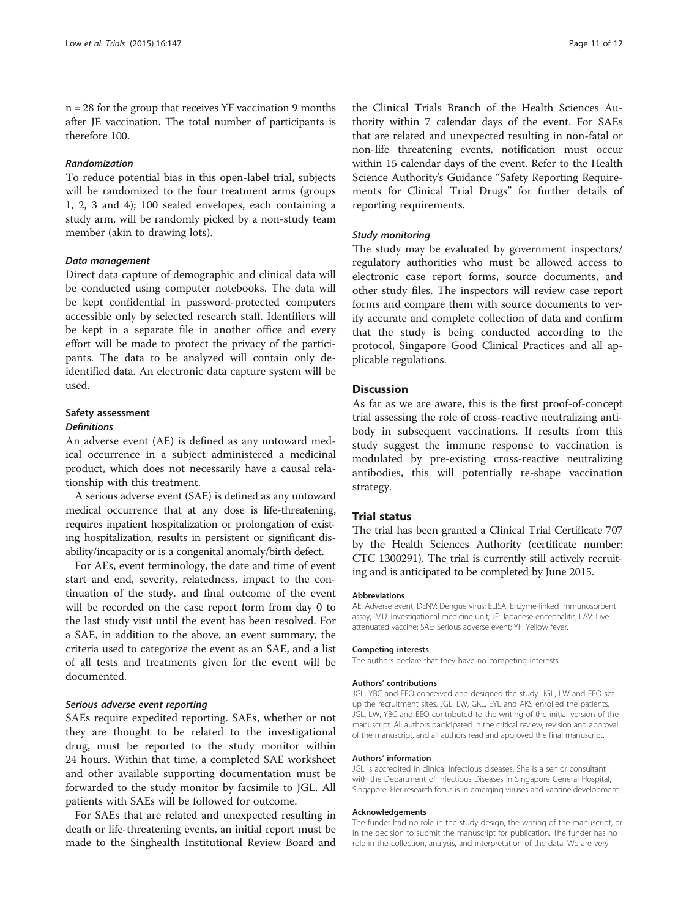n = 28 for the group that receives YF vaccination 9 months after JE vaccination. The total number of participants is therefore 100.

#### Randomization

To reduce potential bias in this open-label trial, subjects will be randomized to the four treatment arms (groups 1, 2, 3 and 4); 100 sealed envelopes, each containing a study arm, will be randomly picked by a non-study team member (akin to drawing lots).

#### Data management

Direct data capture of demographic and clinical data will be conducted using computer notebooks. The data will be kept confidential in password-protected computers accessible only by selected research staff. Identifiers will be kept in a separate file in another office and every effort will be made to protect the privacy of the participants. The data to be analyzed will contain only deidentified data. An electronic data capture system will be used.

#### Safety assessment

#### **Definitions**

An adverse event (AE) is defined as any untoward medical occurrence in a subject administered a medicinal product, which does not necessarily have a causal relationship with this treatment.

A serious adverse event (SAE) is defined as any untoward medical occurrence that at any dose is life-threatening, requires inpatient hospitalization or prolongation of existing hospitalization, results in persistent or significant disability/incapacity or is a congenital anomaly/birth defect.

For AEs, event terminology, the date and time of event start and end, severity, relatedness, impact to the continuation of the study, and final outcome of the event will be recorded on the case report form from day 0 to the last study visit until the event has been resolved. For a SAE, in addition to the above, an event summary, the criteria used to categorize the event as an SAE, and a list of all tests and treatments given for the event will be documented.

#### Serious adverse event reporting

SAEs require expedited reporting. SAEs, whether or not they are thought to be related to the investigational drug, must be reported to the study monitor within 24 hours. Within that time, a completed SAE worksheet and other available supporting documentation must be forwarded to the study monitor by facsimile to JGL. All patients with SAEs will be followed for outcome.

For SAEs that are related and unexpected resulting in death or life-threatening events, an initial report must be made to the Singhealth Institutional Review Board and

the Clinical Trials Branch of the Health Sciences Authority within 7 calendar days of the event. For SAEs that are related and unexpected resulting in non-fatal or non-life threatening events, notification must occur within 15 calendar days of the event. Refer to the Health Science Authority's Guidance "Safety Reporting Requirements for Clinical Trial Drugs" for further details of reporting requirements.

#### Study monitoring

The study may be evaluated by government inspectors/ regulatory authorities who must be allowed access to electronic case report forms, source documents, and other study files. The inspectors will review case report forms and compare them with source documents to verify accurate and complete collection of data and confirm that the study is being conducted according to the protocol, Singapore Good Clinical Practices and all applicable regulations.

## Discussion

As far as we are aware, this is the first proof-of-concept trial assessing the role of cross-reactive neutralizing antibody in subsequent vaccinations. If results from this study suggest the immune response to vaccination is modulated by pre-existing cross-reactive neutralizing antibodies, this will potentially re-shape vaccination strategy.

## Trial status

The trial has been granted a Clinical Trial Certificate 707 by the Health Sciences Authority (certificate number: CTC 1300291). The trial is currently still actively recruiting and is anticipated to be completed by June 2015.

#### Abbreviations

AE: Adverse event; DENV: Dengue virus; ELISA: Enzyme-linked immunosorbent assay; IMU: Investigational medicine unit; JE: Japanese encephalitis; LAV: Live attenuated vaccine; SAE: Serious adverse event; YF: Yellow fever.

#### Competing interests

The authors declare that they have no competing interests.

#### Authors' contributions

JGL, YBC and EEO conceived and designed the study. JGL, LW and EEO set up the recruitment sites. JGL, LW, GKL, EYL and AKS enrolled the patients. JGL, LW, YBC and EEO contributed to the writing of the initial version of the manuscript. All authors participated in the critical review, revision and approval of the manuscript, and all authors read and approved the final manuscript.

#### Authors' information

JGL is accredited in clinical infectious diseases. She is a senior consultant with the Department of Infectious Diseases in Singapore General Hospital, Singapore. Her research focus is in emerging viruses and vaccine development.

#### Acknowledgements

The funder had no role in the study design, the writing of the manuscript, or in the decision to submit the manuscript for publication. The funder has no role in the collection, analysis, and interpretation of the data. We are very